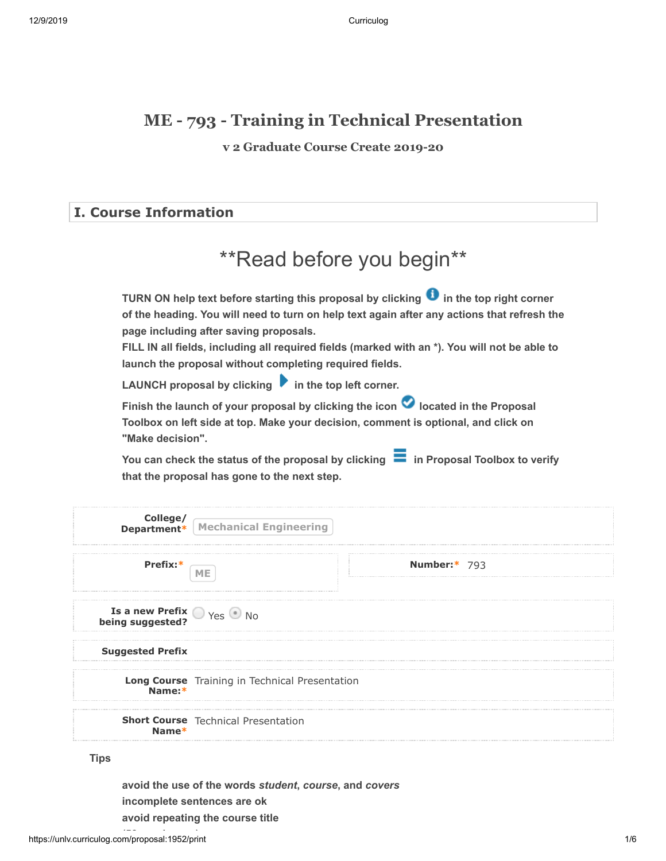### **ME - 793 - Training in Technical Presentation**

**v 2 Graduate Course Create 2019-20**

### **I. Course Information**

# \*\*Read before you begin\*\*

**TURN ON help text before starting this proposal by clicking**  $\bullet$  **in the top right corner of the heading. You will need to turn on help text again after any actions that refresh the page including after saving proposals.**

**FILL IN all fields, including all required fields (marked with an \*). You will not be able to launch the proposal without completing required fields.**

LAUNCH proposal by clicking **in** the top left corner.

Finish the launch of your proposal by clicking the icon **O** located in the Proposal **Toolbox on left side at top. Make your decision, comment is optional, and click on "Make decision".**

You can check the status of the proposal by clicking **in Proposal Toolbox to verify that the proposal has gone to the next step.**

|                                                            | <b>College/</b><br><b>Department*</b> Mechanical Engineering |              |  |
|------------------------------------------------------------|--------------------------------------------------------------|--------------|--|
| Prefix:                                                    | ME                                                           | Number:* 793 |  |
| <b>Is a new Prefix O</b> Yes $\bullet$ No being suggested? |                                                              |              |  |
| <b>Suggested Prefix</b>                                    |                                                              |              |  |
| Long Course Training in Technical Presentation<br>Name:*   |                                                              |              |  |
| Name*                                                      | <b>Short Course</b> Technical Presentation                   |              |  |

**Tips**

**avoid the use of the words** *student***,** *course***, and** *covers* **incomplete sentences are ok avoid repeating the course title**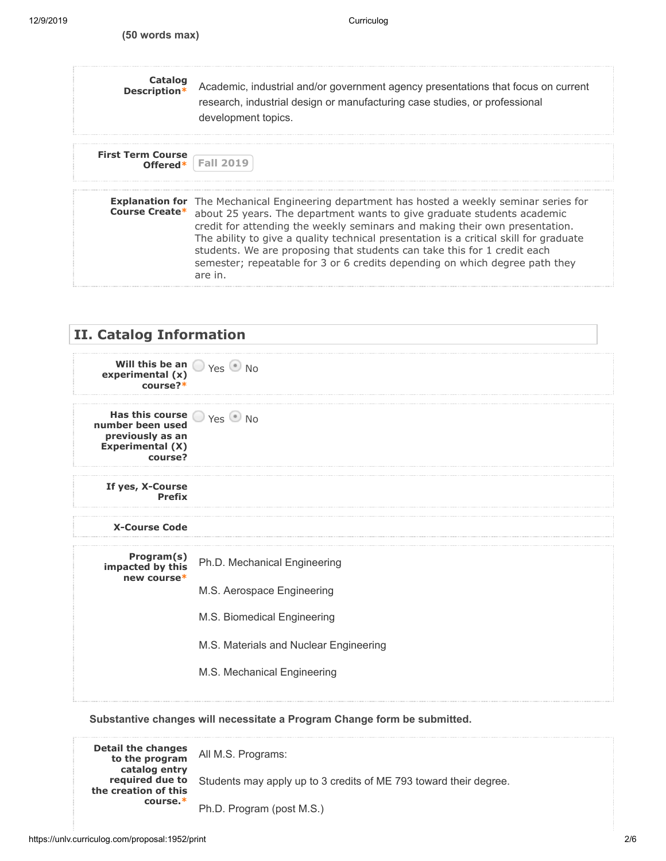| Catalog<br>Description*  | Academic, industrial and/or government agency presentations that focus on current<br>research, industrial design or manufacturing case studies, or professional<br>development topics.                                                                                                                                                                                                                                                                                                                                                             |
|--------------------------|----------------------------------------------------------------------------------------------------------------------------------------------------------------------------------------------------------------------------------------------------------------------------------------------------------------------------------------------------------------------------------------------------------------------------------------------------------------------------------------------------------------------------------------------------|
| <b>First Term Course</b> | Offered*   Fall 2019                                                                                                                                                                                                                                                                                                                                                                                                                                                                                                                               |
|                          | <b>Explanation for</b> The Mechanical Engineering department has hosted a weekly seminar series for<br><b>Course Create*</b> about 25 years. The department wants to give graduate students academic<br>credit for attending the weekly seminars and making their own presentation.<br>The ability to give a quality technical presentation is a critical skill for graduate<br>students. We are proposing that students can take this for 1 credit each<br>semester; repeatable for 3 or 6 credits depending on which degree path they<br>are in. |



#### **Substantive changes will necessitate a Program Change form be submitted.**

**Detail the changes to the program catalog entry required due to the creation of this course.\*** All M.S. Programs: Students may apply up to 3 credits of ME 793 toward their degree. Ph.D. Program (post M.S.)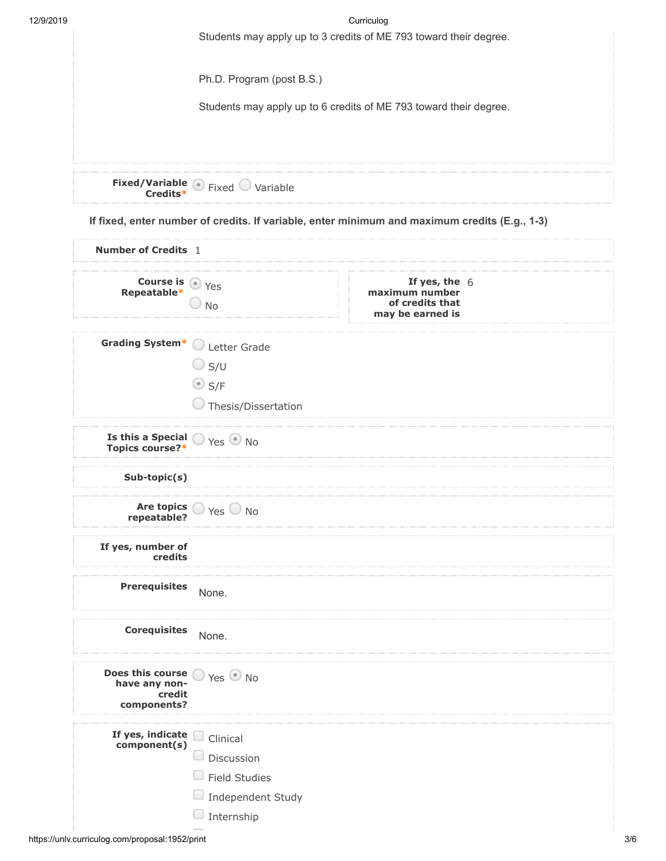| 12/9/2019 | Curriculog                                                        |
|-----------|-------------------------------------------------------------------|
|           | Students may apply up to 3 credits of ME 793 toward their degree. |
|           | Ph.D. Program (post B.S.)                                         |
|           | Students may apply up to 6 credits of ME 793 toward their degree. |
|           | <b>Fixed/Variable</b> Fixed Variable                              |

**If fixed, enter number of credits. If variable, enter minimum and maximum credits (E.g., 1-3)**

| <b>Number of Credits</b> 1                                                                 |                                                        |                                                                          |  |
|--------------------------------------------------------------------------------------------|--------------------------------------------------------|--------------------------------------------------------------------------|--|
| <b>Course is</b> $\bullet$ Yes<br><b>Repeatable</b> *                                      | $\Box$ No                                              | If yes, the $6$<br>maximum number<br>of credits that<br>may be earned is |  |
| Grading System* Letter Grade                                                               |                                                        |                                                                          |  |
|                                                                                            | $\bigcirc$ s/u                                         |                                                                          |  |
|                                                                                            | $\odot$ S/F                                            |                                                                          |  |
|                                                                                            | Thesis/Dissertation                                    |                                                                          |  |
| <b>Is this a Special <math>\bigcirc</math></b> Yes $\bigcirc$ No<br><b>Topics course?*</b> |                                                        |                                                                          |  |
| Sub-topic(s)                                                                               |                                                        |                                                                          |  |
|                                                                                            | Are topics $\bigcirc$ Yes $\bigcirc$ No<br>repeatable? |                                                                          |  |
| If yes, number of<br>credits                                                               |                                                        |                                                                          |  |
| <b>Prerequisites</b>                                                                       | None.                                                  |                                                                          |  |
| <b>Corequisites</b>                                                                        | None.                                                  |                                                                          |  |
| Does this course $\bigcirc$ Yes $\bigcirc$ No<br>have any non-<br>credit<br>components?    |                                                        |                                                                          |  |
| If yes, indicate                                                                           | $\Box$ Clinical                                        |                                                                          |  |
| composition( s )                                                                           | Discussion<br>u                                        |                                                                          |  |
|                                                                                            | <b>Field Studies</b>                                   |                                                                          |  |
|                                                                                            | Independent Study                                      |                                                                          |  |
|                                                                                            | $\Box$ Internship                                      |                                                                          |  |
|                                                                                            |                                                        |                                                                          |  |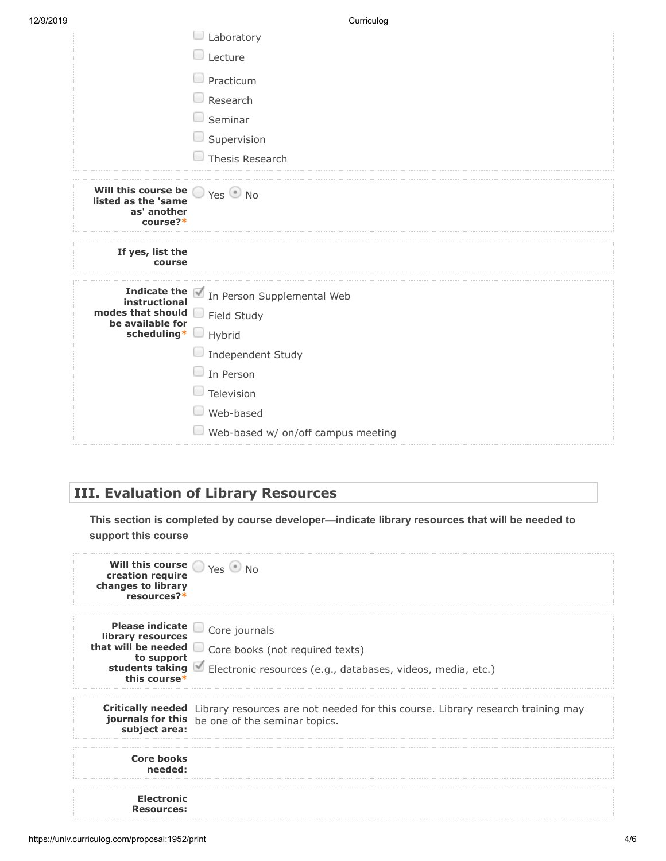| 12/9/2019 |  |  |  |  |
|-----------|--|--|--|--|
|-----------|--|--|--|--|

| Curriculoa |  |
|------------|--|
|            |  |

| 12/9/2019 |                                                                                                   | Curriculog                                                                                                                            |
|-----------|---------------------------------------------------------------------------------------------------|---------------------------------------------------------------------------------------------------------------------------------------|
|           |                                                                                                   | $\Box$ Laboratory                                                                                                                     |
|           |                                                                                                   | Lecture<br>$\Box$                                                                                                                     |
|           |                                                                                                   | Practicum                                                                                                                             |
|           |                                                                                                   | Research                                                                                                                              |
|           |                                                                                                   | $\Box$ Seminar                                                                                                                        |
|           |                                                                                                   | Supervision<br>U                                                                                                                      |
|           |                                                                                                   | Thesis Research                                                                                                                       |
|           | Will this course be $\bigcirc$ Yes $\bullet$ No<br>listed as the 'same<br>as' another<br>course?* |                                                                                                                                       |
|           | If yes, list the<br>course                                                                        |                                                                                                                                       |
|           | modes that should<br>be available for<br>scheduling* U Hybrid                                     | Indicate the <i>In Person Supplemental Web</i><br>instructional<br>$\Box$ Field Study<br>$\Box$ Independent Study<br>$\Box$ In Person |
|           |                                                                                                   | $\Box$ Television                                                                                                                     |
|           |                                                                                                   | Web-based                                                                                                                             |
|           |                                                                                                   | Web-based w/ on/off campus meeting                                                                                                    |

### **III. Evaluation of Library Resources**

**This section is completed by course developer—indicate library resources that will be needed to support this course**

| Will this course $\bigcirc$ Yes $\bigcirc$ No<br>creation require<br>changes to library<br>resources?* |                                                                                                                                                                     |
|--------------------------------------------------------------------------------------------------------|---------------------------------------------------------------------------------------------------------------------------------------------------------------------|
| library resources<br>to support<br>this course*                                                        | Please indicate Core journals<br>that will be needed core books (not required texts)<br>students taking Electronic resources (e.g., databases, videos, media, etc.) |
| subject area:                                                                                          | <b>Critically needed</b> Library resources are not needed for this course. Library research training may<br>journals for this be one of the seminar topics.         |
| <b>Core books</b><br>needed:                                                                           |                                                                                                                                                                     |
| <b>Electronic</b><br><b>Resources:</b>                                                                 |                                                                                                                                                                     |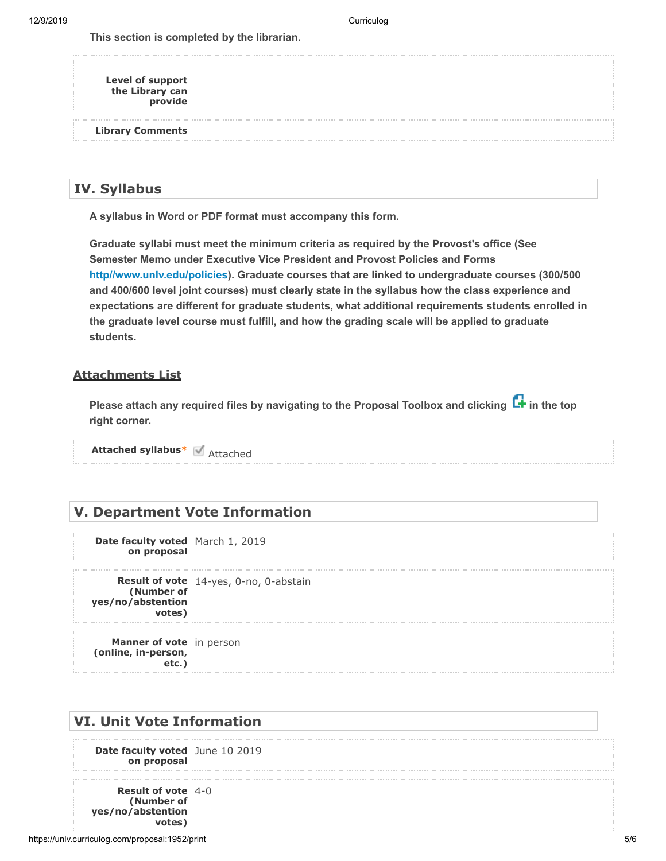12/9/2019 Curriculog

**This section is completed by the librarian.**

**Level of support the Library can provide**

**Library Comments**

#### **IV. Syllabus**

**A syllabus in Word or PDF format must accompany this form.**

**Graduate syllabi must meet the minimum criteria as required by the Provost's office (See Semester Memo under Executive Vice President and Provost Policies and Forms** <u>[http//www.unlv.edu/policies](http://http//www.unlv.edu/policies)</u>). Graduate courses that are linked to undergraduate courses (300/500 **and 400/600 level joint courses) must clearly state in the syllabus how the class experience and expectations are different for graduate students, what additional requirements students enrolled in the graduate level course must fulfill, and how the grading scale will be applied to graduate students.**

#### **Attachments List**

Please attach any required files by navigating to the Proposal Toolbox and clicking **L+** in the top **right corner.**

**Attached syllabus\*** Attached

#### **V. Department Vote Information**

**Date faculty voted** March 1, 2019 **on proposal**

**Result of vote** 14-yes, 0-no, 0-abstain **(Number of yes/no/abstention votes)**

**Manner of vote** in person **(online, in-person, etc.)**

#### **VI. Unit Vote Information**

**Date faculty voted** June 10 2019 **on proposal**

**Result of vote** 4-0**(Number of yes/no/abstention votes)**